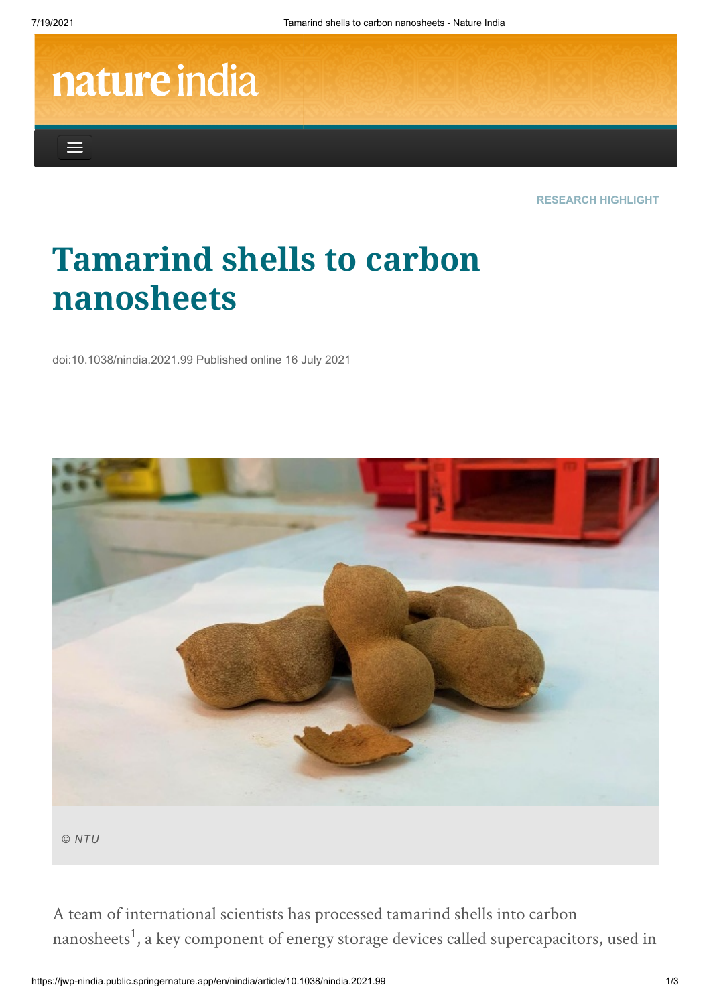$\equiv$ 

## nature india

**RESEARCH HIGHLIGHT**

## **Tamarind shells to carbon nanosheets**

doi:10.1038/nindia.2021.99 Published online 16 July 2021



*© NTU*

A team of international scientists has processed tamarind shells into carbon nanosheets<sup>1</sup>, a key component of energy storage devices called supercapacitors, used in